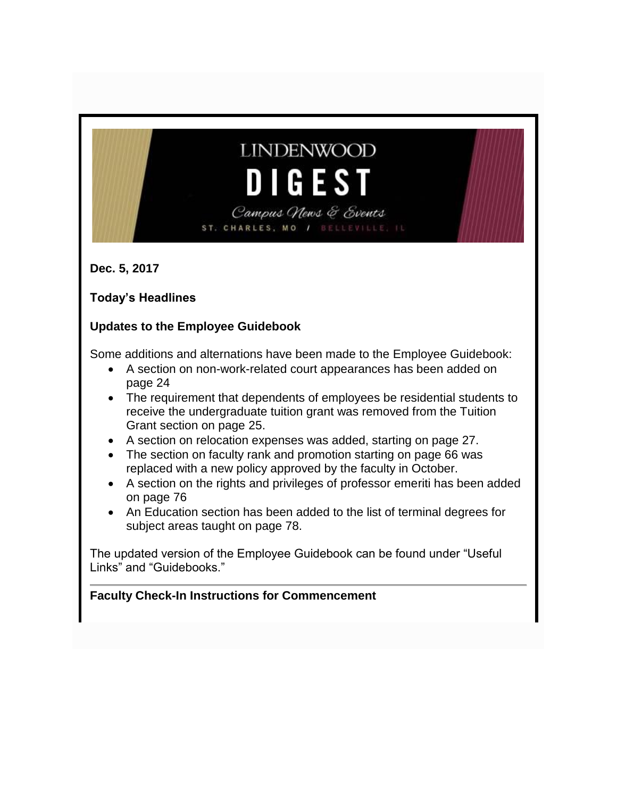# **LINDENWOOD** DIGES Campus News & Events

BELLEVILLE, IL

ST. CHARLES, MO /

**Dec. 5, 2017**

**Today's Headlines**

### **Updates to the Employee Guidebook**

Some additions and alternations have been made to the Employee Guidebook:

- A section on non-work-related court appearances has been added on page 24
- The requirement that dependents of employees be residential students to receive the undergraduate tuition grant was removed from the Tuition Grant section on page 25.
- A section on relocation expenses was added, starting on page 27.
- The section on faculty rank and promotion starting on page 66 was replaced with a new policy approved by the faculty in October.
- A section on the rights and privileges of professor emeriti has been added on page 76
- An Education section has been added to the list of terminal degrees for subject areas taught on page 78.

The updated version of the Employee Guidebook can be found under "Useful Links" and "Guidebooks."

### **Faculty Check-In Instructions for Commencement**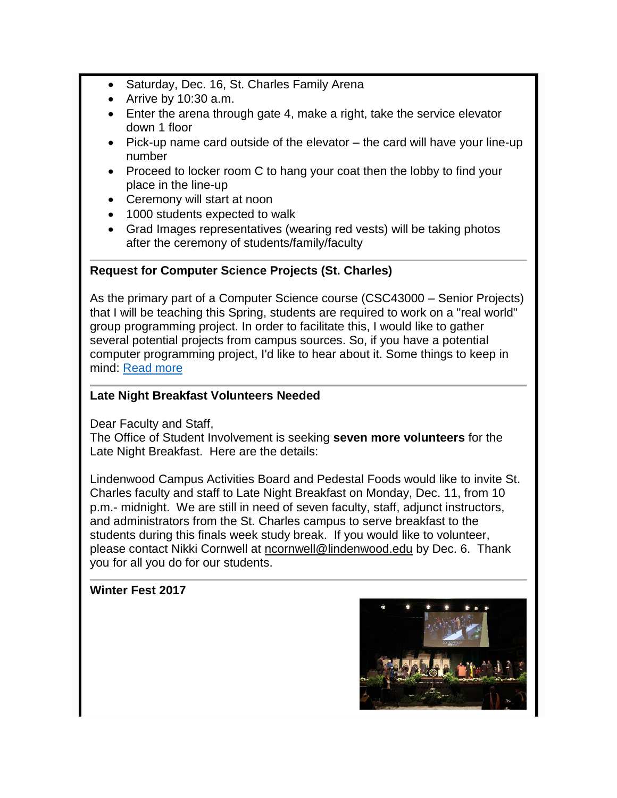- Saturday, Dec. 16, St. Charles Family Arena
- Arrive by  $10:30$  a.m.
- Enter the arena through gate 4, make a right, take the service elevator down 1 floor
- Pick-up name card outside of the elevator the card will have your line-up number
- Proceed to locker room C to hang your coat then the lobby to find your place in the line-up
- Ceremony will start at noon
- 1000 students expected to walk
- Grad Images representatives (wearing red vests) will be taking photos after the ceremony of students/family/faculty

### **Request for Computer Science Projects (St. Charles)**

As the primary part of a Computer Science course (CSC43000 – Senior Projects) that I will be teaching this Spring, students are required to work on a "real world" group programming project. In order to facilitate this, I would like to gather several potential projects from campus sources. So, if you have a potential computer programming project, I'd like to hear about it. Some things to keep in mind: [Read more](http://felix.lindenwood.edu/newsletter/2017_12/computerscience.pdf)

#### **Late Night Breakfast Volunteers Needed**

Dear Faculty and Staff,

The Office of Student Involvement is seeking **seven more volunteers** for the Late Night Breakfast. Here are the details:

Lindenwood Campus Activities Board and Pedestal Foods would like to invite St. Charles faculty and staff to Late Night Breakfast on Monday, Dec. 11, from 10 p.m.- midnight. We are still in need of seven faculty, staff, adjunct instructors, and administrators from the St. Charles campus to serve breakfast to the students during this finals week study break. If you would like to volunteer, please contact Nikki Cornwell at [ncornwell@lindenwood.edu](mailto:ncornwell@lindenwood.edu) by Dec. 6. Thank you for all you do for our students.

### **Winter Fest 2017**

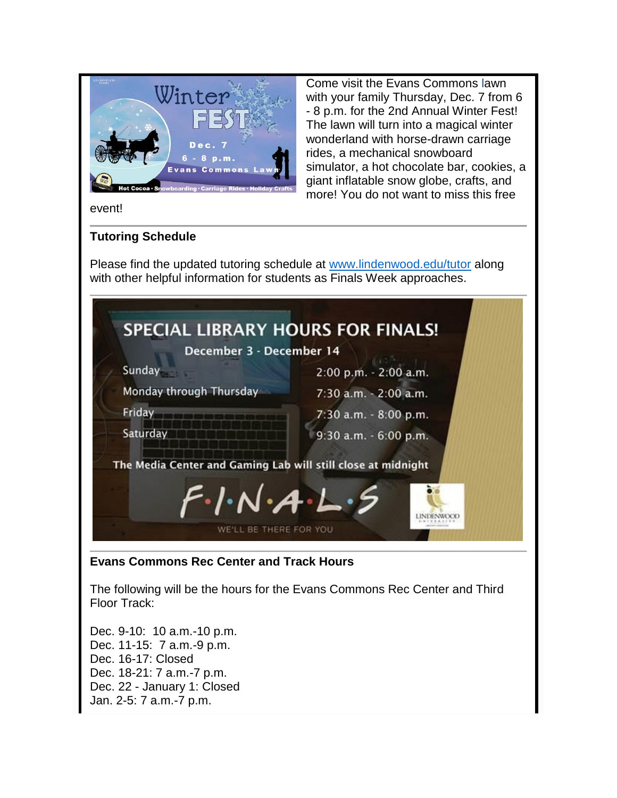

Come visit the Evans Commons lawn with your family Thursday, Dec. 7 from 6 - 8 p.m. for the 2nd Annual Winter Fest! The lawn will turn into a magical winter wonderland with horse-drawn carriage rides, a mechanical snowboard simulator, a hot chocolate bar, cookies, a giant inflatable snow globe, crafts, and more! You do not want to miss this free

event!

### **Tutoring Schedule**

Please find the updated tutoring schedule at [www.lindenwood.edu/tutor](http://www.lindenwood.edu/tutor) along with other helpful information for students as Finals Week approaches.

| Sunday                                                                                                            | 2:00 p.m. - 2:00 a.m. |
|-------------------------------------------------------------------------------------------------------------------|-----------------------|
| Monday through Thursday                                                                                           | 7:30 a.m. - 2:00 a.m. |
| Friday                                                                                                            | 7:30 a.m. - 8:00 p.m. |
| Saturday                                                                                                          | 9:30 a.m. - 6:00 p.m. |
| The Media Center and Gaming Lab will still close at midnight<br>$F\cdot$ $\wedge \cdot$ $A\cdot$ $\vdash \cdot$ 5 |                       |

### **Evans Commons Rec Center and Track Hours**

The following will be the hours for the Evans Commons Rec Center and Third Floor Track:

Dec. 9-10: 10 a.m.-10 p.m. Dec. 11-15: 7 a.m.-9 p.m. Dec. 16-17: Closed Dec. 18-21: 7 a.m.-7 p.m. Dec. 22 - January 1: Closed Jan. 2-5: 7 a.m.-7 p.m.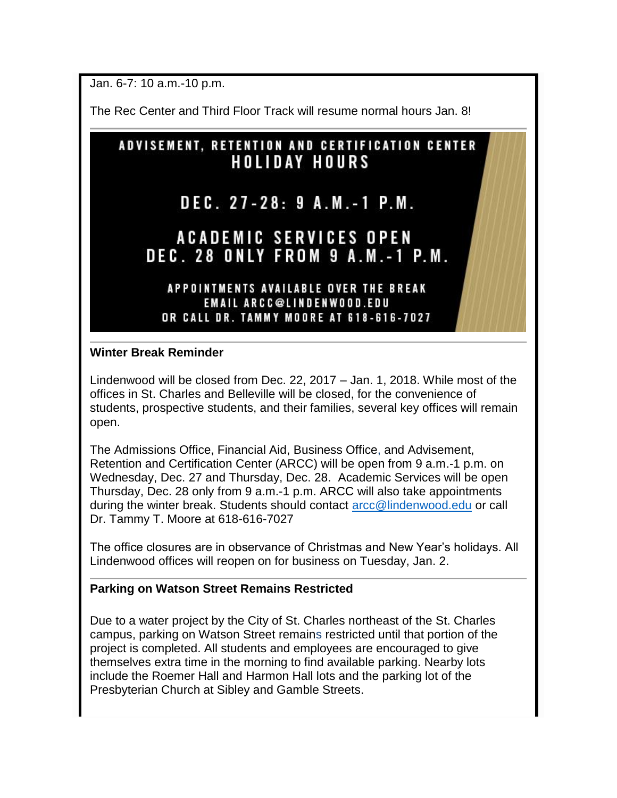Jan. 6-7: 10 a.m.-10 p.m.

The Rec Center and Third Floor Track will resume normal hours Jan. 8!

### **ADVISEMENT, RETENTION AND CERTIFICATION CENTER HOLIDAY HOURS**

## DEC. 27-28: 9 A.M.-1 P.M.

### **ACADEMIC SERVICES OPEN DEC. 28 ONLY FROM 9 A.M.-1 P.M.**

#### APPOINTMENTS AVAILABLE OVER THE BREAK **EMAIL ARCC@LINDENWOOD.EDU** OR CALL DR. TAMMY MOORE AT 618-616-7027

#### **Winter Break Reminder**

Lindenwood will be closed from Dec. 22, 2017 – Jan. 1, 2018. While most of the offices in St. Charles and Belleville will be closed, for the convenience of students, prospective students, and their families, several key offices will remain open.

The Admissions Office, Financial Aid, Business Office, and Advisement, Retention and Certification Center (ARCC) will be open from 9 a.m.-1 p.m. on Wednesday, Dec. 27 and Thursday, Dec. 28. Academic Services will be open Thursday, Dec. 28 only from 9 a.m.-1 p.m. ARCC will also take appointments during the winter break. Students should contact [arcc@lindenwood.edu](mailto:arcc@lindenwood.edu) or call Dr. Tammy T. Moore at 618-616-7027

The office closures are in observance of Christmas and New Year's holidays. All Lindenwood offices will reopen on for business on Tuesday, Jan. 2.

### **Parking on Watson Street Remains Restricted**

Due to a water project by the City of St. Charles northeast of the St. Charles campus, parking on Watson Street remains restricted until that portion of the project is completed. All students and employees are encouraged to give themselves extra time in the morning to find available parking. Nearby lots include the Roemer Hall and Harmon Hall lots and the parking lot of the Presbyterian Church at Sibley and Gamble Streets.